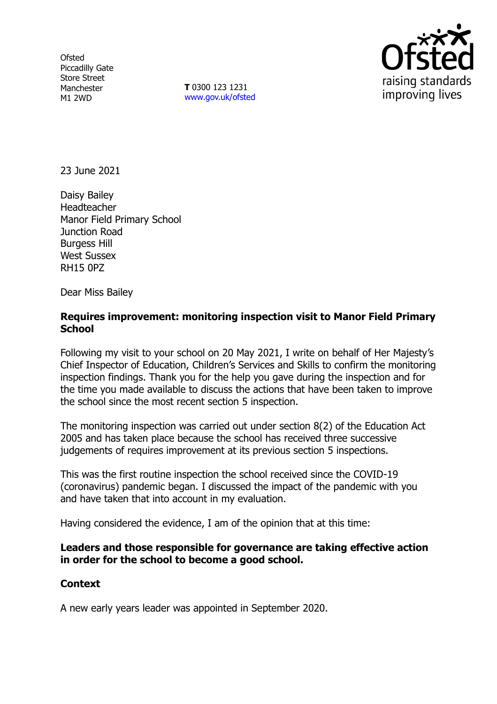**Ofsted** Piccadilly Gate Store Street Manchester M1 2WD

**T** 0300 123 1231 [www.gov.uk/ofsted](http://www.gov.uk/ofsted)



23 June 2021

Daisy Bailey Headteacher Manor Field Primary School Junction Road Burgess Hill West Sussex RH15 0PZ

Dear Miss Bailey

## **Requires improvement: monitoring inspection visit to Manor Field Primary School**

Following my visit to your school on 20 May 2021, I write on behalf of Her Majesty's Chief Inspector of Education, Children's Services and Skills to confirm the monitoring inspection findings. Thank you for the help you gave during the inspection and for the time you made available to discuss the actions that have been taken to improve the school since the most recent section 5 inspection.

The monitoring inspection was carried out under section 8(2) of the Education Act 2005 and has taken place because the school has received three successive judgements of requires improvement at its previous section 5 inspections.

This was the first routine inspection the school received since the COVID-19 (coronavirus) pandemic began. I discussed the impact of the pandemic with you and have taken that into account in my evaluation.

Having considered the evidence, I am of the opinion that at this time:

## **Leaders and those responsible for governance are taking effective action in order for the school to become a good school.**

## **Context**

A new early years leader was appointed in September 2020.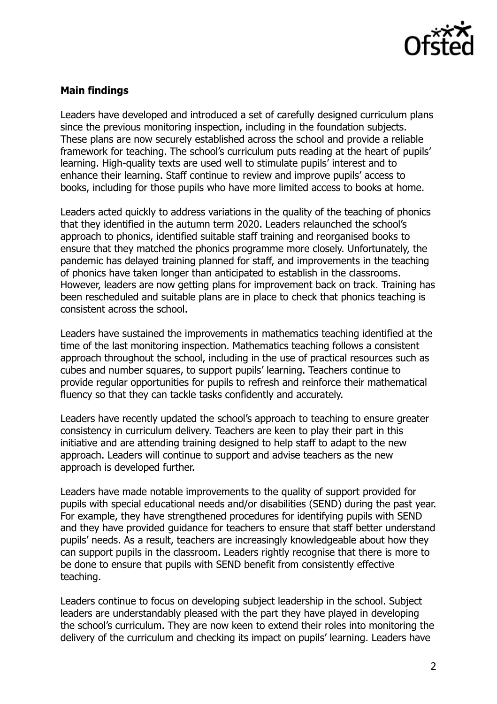

# **Main findings**

Leaders have developed and introduced a set of carefully designed curriculum plans since the previous monitoring inspection, including in the foundation subjects. These plans are now securely established across the school and provide a reliable framework for teaching. The school's curriculum puts reading at the heart of pupils' learning. High-quality texts are used well to stimulate pupils' interest and to enhance their learning. Staff continue to review and improve pupils' access to books, including for those pupils who have more limited access to books at home.

Leaders acted quickly to address variations in the quality of the teaching of phonics that they identified in the autumn term 2020. Leaders relaunched the school's approach to phonics, identified suitable staff training and reorganised books to ensure that they matched the phonics programme more closely. Unfortunately, the pandemic has delayed training planned for staff, and improvements in the teaching of phonics have taken longer than anticipated to establish in the classrooms. However, leaders are now getting plans for improvement back on track. Training has been rescheduled and suitable plans are in place to check that phonics teaching is consistent across the school.

Leaders have sustained the improvements in mathematics teaching identified at the time of the last monitoring inspection. Mathematics teaching follows a consistent approach throughout the school, including in the use of practical resources such as cubes and number squares, to support pupils' learning. Teachers continue to provide regular opportunities for pupils to refresh and reinforce their mathematical fluency so that they can tackle tasks confidently and accurately.

Leaders have recently updated the school's approach to teaching to ensure greater consistency in curriculum delivery. Teachers are keen to play their part in this initiative and are attending training designed to help staff to adapt to the new approach. Leaders will continue to support and advise teachers as the new approach is developed further.

Leaders have made notable improvements to the quality of support provided for pupils with special educational needs and/or disabilities (SEND) during the past year. For example, they have strengthened procedures for identifying pupils with SEND and they have provided guidance for teachers to ensure that staff better understand pupils' needs. As a result, teachers are increasingly knowledgeable about how they can support pupils in the classroom. Leaders rightly recognise that there is more to be done to ensure that pupils with SEND benefit from consistently effective teaching.

Leaders continue to focus on developing subject leadership in the school. Subject leaders are understandably pleased with the part they have played in developing the school's curriculum. They are now keen to extend their roles into monitoring the delivery of the curriculum and checking its impact on pupils' learning. Leaders have